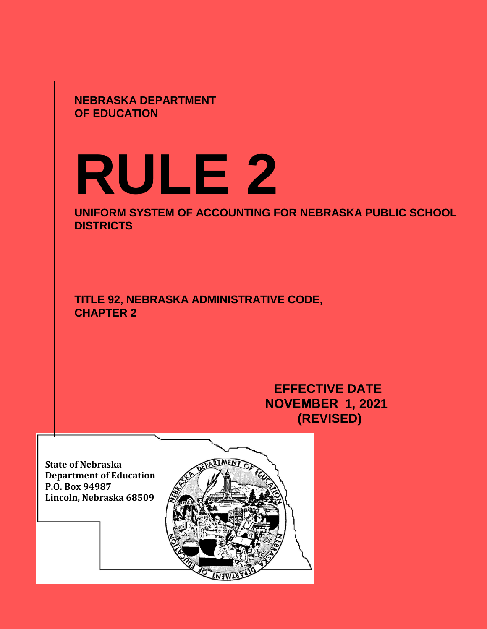**NEBRASKA DEPARTMENT OF EDUCATION**

# **RULE 2**

**UNIFORM SYSTEM OF ACCOUNTING FOR NEBRASKA PUBLIC SCHOOL DISTRICTS** 

**TITLE 92, NEBRASKA ADMINISTRATIVE CODE, CHAPTER 2**

> **EFFECTIVE DATE NOVEMBER 1, 2021 (REVISED)**

**State of Nebraska Department of Education P.O. Box 94987 Lincoln, Nebraska 68509** 

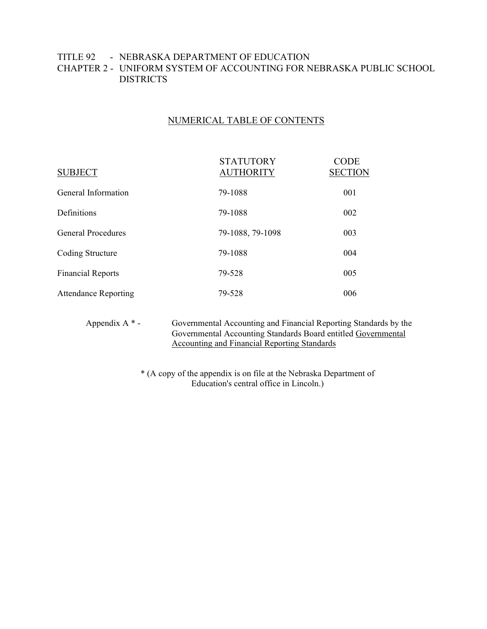# TITLE 92 - NEBRASKA DEPARTMENT OF EDUCATION CHAPTER 2 - UNIFORM SYSTEM OF ACCOUNTING FOR NEBRASKA PUBLIC SCHOOL **DISTRICTS**

# NUMERICAL TABLE OF CONTENTS

| <b>SUBJECT</b>              | <b>STATUTORY</b><br><b>AUTHORITY</b> | <b>CODE</b><br><b>SECTION</b> |
|-----------------------------|--------------------------------------|-------------------------------|
| General Information         | 79-1088                              | 001                           |
| Definitions                 | 79-1088                              | 002                           |
| <b>General Procedures</b>   | 79-1088, 79-1098                     | 003                           |
| Coding Structure            | 79-1088                              | 004                           |
| <b>Financial Reports</b>    | 79-528                               | 005                           |
| <b>Attendance Reporting</b> | 79-528                               | 006                           |

Appendix A \* - Governmental Accounting and Financial Reporting Standards by the Governmental Accounting Standards Board entitled Governmental Accounting and Financial Reporting Standards

> \* (A copy of the appendix is on file at the Nebraska Department of Education's central office in Lincoln.)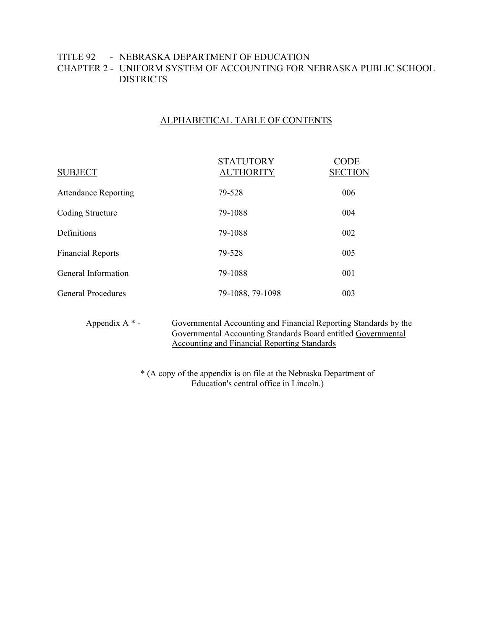# TITLE 92 - NEBRASKA DEPARTMENT OF EDUCATION CHAPTER 2 - UNIFORM SYSTEM OF ACCOUNTING FOR NEBRASKA PUBLIC SCHOOL **DISTRICTS**

# ALPHABETICAL TABLE OF CONTENTS

| <b>SUBJECT</b>              | <b>STATUTORY</b><br><b>AUTHORITY</b> | <b>CODE</b><br><b>SECTION</b> |
|-----------------------------|--------------------------------------|-------------------------------|
| <b>Attendance Reporting</b> | 79-528                               | 006                           |
| Coding Structure            | 79-1088                              | 004                           |
| Definitions                 | 79-1088                              | 002                           |
| <b>Financial Reports</b>    | 79-528                               | 005                           |
| General Information         | 79-1088                              | 001                           |
| <b>General Procedures</b>   | 79-1088, 79-1098                     | 003                           |

Appendix A \* - Governmental Accounting and Financial Reporting Standards by the Governmental Accounting Standards Board entitled Governmental Accounting and Financial Reporting Standards

> \* (A copy of the appendix is on file at the Nebraska Department of Education's central office in Lincoln.)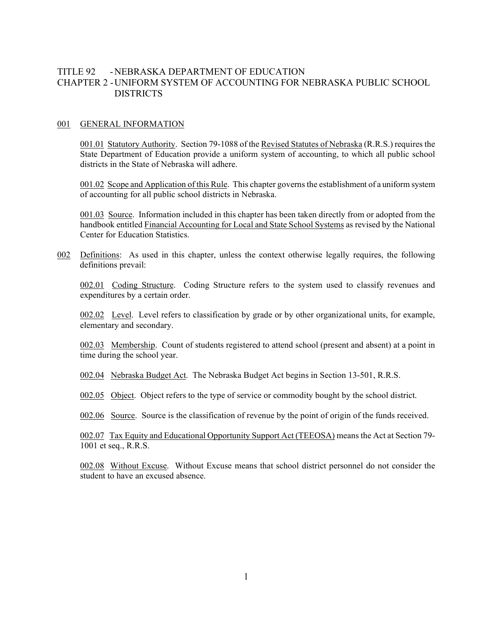## TITLE 92 - NEBRASKA DEPARTMENT OF EDUCATION CHAPTER 2 -UNIFORM SYSTEM OF ACCOUNTING FOR NEBRASKA PUBLIC SCHOOL **DISTRICTS**

#### 001 GENERAL INFORMATION

001.01 Statutory Authority. Section 79-1088 of the Revised Statutes of Nebraska (R.R.S.) requires the State Department of Education provide a uniform system of accounting, to which all public school districts in the State of Nebraska will adhere.

001.02 Scope and Application of this Rule. This chapter governs the establishment of a uniform system of accounting for all public school districts in Nebraska.

001.03 Source. Information included in this chapter has been taken directly from or adopted from the handbook entitled Financial Accounting for Local and State School Systems as revised by the National Center for Education Statistics.

002 Definitions: As used in this chapter, unless the context otherwise legally requires, the following definitions prevail:

002.01 Coding Structure. Coding Structure refers to the system used to classify revenues and expenditures by a certain order.

002.02 Level. Level refers to classification by grade or by other organizational units, for example, elementary and secondary.

002.03 Membership. Count of students registered to attend school (present and absent) at a point in time during the school year.

002.04 Nebraska Budget Act. The Nebraska Budget Act begins in Section 13-501, R.R.S.

002.05 Object. Object refers to the type of service or commodity bought by the school district.

002.06 Source. Source is the classification of revenue by the point of origin of the funds received.

002.07 Tax Equity and Educational Opportunity Support Act (TEEOSA) means the Act at Section 79- 1001 et seq., R.R.S.

002.08 Without Excuse. Without Excuse means that school district personnel do not consider the student to have an excused absence.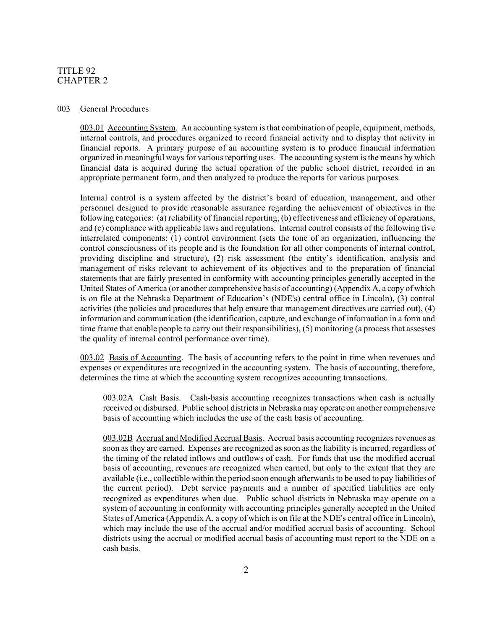#### 003 General Procedures

003.01 Accounting System. An accounting system is that combination of people, equipment, methods, internal controls, and procedures organized to record financial activity and to display that activity in financial reports. A primary purpose of an accounting system is to produce financial information organized in meaningful ways for various reporting uses. The accounting system is the means by which financial data is acquired during the actual operation of the public school district, recorded in an appropriate permanent form, and then analyzed to produce the reports for various purposes.

Internal control is a system affected by the district's board of education, management, and other personnel designed to provide reasonable assurance regarding the achievement of objectives in the following categories: (a) reliability of financial reporting, (b) effectiveness and efficiency of operations, and (c) compliance with applicable laws and regulations. Internal control consists of the following five interrelated components: (1) control environment (sets the tone of an organization, influencing the control consciousness of its people and is the foundation for all other components of internal control, providing discipline and structure), (2) risk assessment (the entity's identification, analysis and management of risks relevant to achievement of its objectives and to the preparation of financial statements that are fairly presented in conformity with accounting principles generally accepted in the United States of America (or another comprehensive basis of accounting) (Appendix A, a copy of which is on file at the Nebraska Department of Education's (NDE's) central office in Lincoln), (3) control activities (the policies and procedures that help ensure that management directives are carried out), (4) information and communication (the identification, capture, and exchange of information in a form and time frame that enable people to carry out their responsibilities), (5) monitoring (a process that assesses the quality of internal control performance over time).

003.02 Basis of Accounting. The basis of accounting refers to the point in time when revenues and expenses or expenditures are recognized in the accounting system. The basis of accounting, therefore, determines the time at which the accounting system recognizes accounting transactions.

003.02A Cash Basis. Cash-basis accounting recognizes transactions when cash is actually received or disbursed. Public school districts in Nebraska may operate on another comprehensive basis of accounting which includes the use of the cash basis of accounting.

003.02B Accrual and Modified Accrual Basis. Accrual basis accounting recognizes revenues as soon as they are earned. Expenses are recognized as soon as the liability is incurred, regardless of the timing of the related inflows and outflows of cash. For funds that use the modified accrual basis of accounting, revenues are recognized when earned, but only to the extent that they are available (i.e., collectible within the period soon enough afterwards to be used to pay liabilities of the current period). Debt service payments and a number of specified liabilities are only recognized as expenditures when due. Public school districts in Nebraska may operate on a system of accounting in conformity with accounting principles generally accepted in the United States of America (Appendix A, a copy of which is on file at the NDE's central office in Lincoln), which may include the use of the accrual and/or modified accrual basis of accounting. School districts using the accrual or modified accrual basis of accounting must report to the NDE on a cash basis.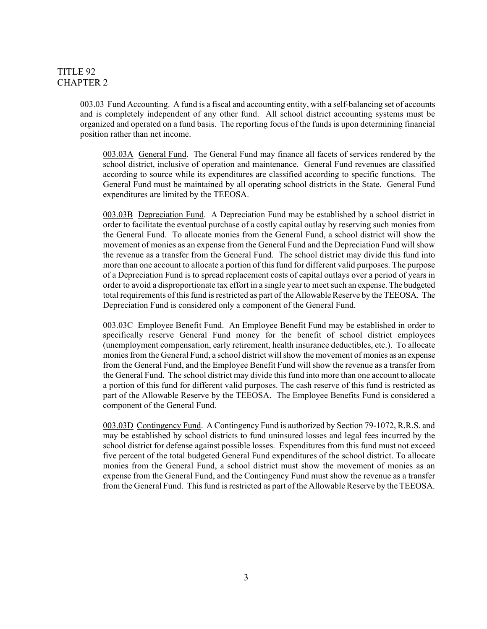003.03 Fund Accounting. A fund is a fiscal and accounting entity, with a self-balancing set of accounts and is completely independent of any other fund. All school district accounting systems must be organized and operated on a fund basis. The reporting focus of the funds is upon determining financial position rather than net income.

003.03A General Fund. The General Fund may finance all facets of services rendered by the school district, inclusive of operation and maintenance. General Fund revenues are classified according to source while its expenditures are classified according to specific functions. The General Fund must be maintained by all operating school districts in the State. General Fund expenditures are limited by the TEEOSA.

003.03B Depreciation Fund. A Depreciation Fund may be established by a school district in order to facilitate the eventual purchase of a costly capital outlay by reserving such monies from the General Fund. To allocate monies from the General Fund, a school district will show the movement of monies as an expense from the General Fund and the Depreciation Fund will show the revenue as a transfer from the General Fund. The school district may divide this fund into more than one account to allocate a portion of this fund for different valid purposes. The purpose of a Depreciation Fund is to spread replacement costs of capital outlays over a period of years in order to avoid a disproportionate tax effort in a single year to meet such an expense. The budgeted total requirements of this fund is restricted as part of the Allowable Reserve by the TEEOSA. The Depreciation Fund is considered only a component of the General Fund.

003.03C Employee Benefit Fund. An Employee Benefit Fund may be established in order to specifically reserve General Fund money for the benefit of school district employees (unemployment compensation, early retirement, health insurance deductibles, etc.). To allocate monies from the General Fund, a school district will show the movement of monies as an expense from the General Fund, and the Employee Benefit Fund will show the revenue as a transfer from the General Fund. The school district may divide this fund into more than one account to allocate a portion of this fund for different valid purposes. The cash reserve of this fund is restricted as part of the Allowable Reserve by the TEEOSA. The Employee Benefits Fund is considered a component of the General Fund.

003.03D Contingency Fund. A Contingency Fund is authorized by Section 79-1072, R.R.S. and may be established by school districts to fund uninsured losses and legal fees incurred by the school district for defense against possible losses. Expenditures from this fund must not exceed five percent of the total budgeted General Fund expenditures of the school district. To allocate monies from the General Fund, a school district must show the movement of monies as an expense from the General Fund, and the Contingency Fund must show the revenue as a transfer from the General Fund. This fund is restricted as part of the Allowable Reserve by the TEEOSA.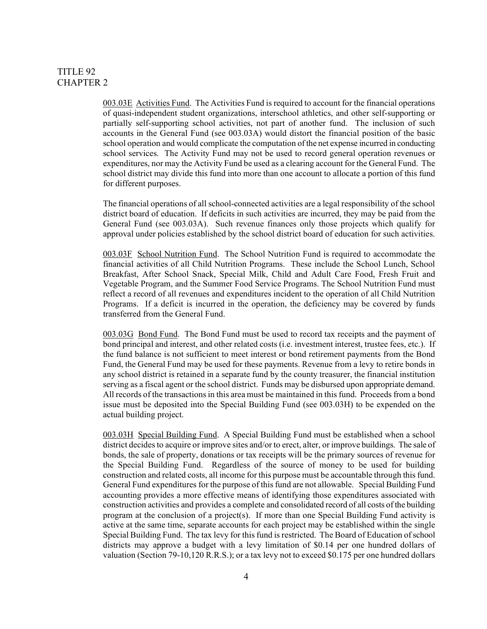003.03E Activities Fund. The Activities Fund is required to account for the financial operations of quasi-independent student organizations, interschool athletics, and other self-supporting or partially self-supporting school activities, not part of another fund. The inclusion of such accounts in the General Fund (see 003.03A) would distort the financial position of the basic school operation and would complicate the computation of the net expense incurred in conducting school services. The Activity Fund may not be used to record general operation revenues or expenditures, nor may the Activity Fund be used as a clearing account for the General Fund. The school district may divide this fund into more than one account to allocate a portion of this fund for different purposes.

The financial operations of all school-connected activities are a legal responsibility of the school district board of education. If deficits in such activities are incurred, they may be paid from the General Fund (see 003.03A). Such revenue finances only those projects which qualify for approval under policies established by the school district board of education for such activities.

003.03F School Nutrition Fund. The School Nutrition Fund is required to accommodate the financial activities of all Child Nutrition Programs. These include the School Lunch, School Breakfast, After School Snack, Special Milk, Child and Adult Care Food, Fresh Fruit and Vegetable Program, and the Summer Food Service Programs. The School Nutrition Fund must reflect a record of all revenues and expenditures incident to the operation of all Child Nutrition Programs. If a deficit is incurred in the operation, the deficiency may be covered by funds transferred from the General Fund.

003.03G Bond Fund. The Bond Fund must be used to record tax receipts and the payment of bond principal and interest, and other related costs (i.e. investment interest, trustee fees, etc.). If the fund balance is not sufficient to meet interest or bond retirement payments from the Bond Fund, the General Fund may be used for these payments. Revenue from a levy to retire bonds in any school district is retained in a separate fund by the county treasurer, the financial institution serving as a fiscal agent or the school district. Funds may be disbursed upon appropriate demand. All records of the transactions in this area must be maintained in this fund. Proceeds from a bond issue must be deposited into the Special Building Fund (see 003.03H) to be expended on the actual building project.

003.03H Special Building Fund. A Special Building Fund must be established when a school district decides to acquire or improve sites and/or to erect, alter, or improve buildings. The sale of bonds, the sale of property, donations or tax receipts will be the primary sources of revenue for the Special Building Fund. Regardless of the source of money to be used for building construction and related costs, all income for this purpose must be accountable through this fund. General Fund expenditures for the purpose of this fund are not allowable. Special Building Fund accounting provides a more effective means of identifying those expenditures associated with construction activities and provides a complete and consolidated record of all costs of the building program at the conclusion of a project(s). If more than one Special Building Fund activity is active at the same time, separate accounts for each project may be established within the single Special Building Fund. The tax levy for this fund is restricted. The Board of Education of school districts may approve a budget with a levy limitation of \$0.14 per one hundred dollars of valuation (Section 79-10,120 R.R.S.); or a tax levy not to exceed \$0.175 per one hundred dollars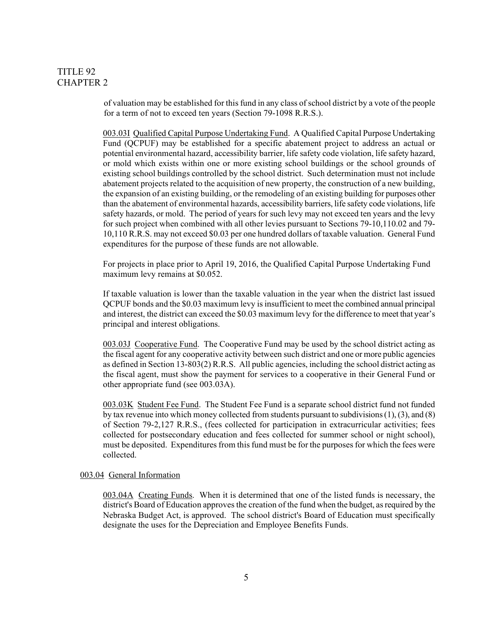of valuation may be established for this fund in any class of school district by a vote of the people for a term of not to exceed ten years (Section 79-1098 R.R.S.).

003.03I Qualified Capital Purpose Undertaking Fund. A Qualified Capital Purpose Undertaking Fund (QCPUF) may be established for a specific abatement project to address an actual or potential environmental hazard, accessibility barrier, life safety code violation, life safety hazard, or mold which exists within one or more existing school buildings or the school grounds of existing school buildings controlled by the school district. Such determination must not include abatement projects related to the acquisition of new property, the construction of a new building, the expansion of an existing building, or the remodeling of an existing building for purposes other than the abatement of environmental hazards, accessibility barriers, life safety code violations, life safety hazards, or mold. The period of years for such levy may not exceed ten years and the levy for such project when combined with all other levies pursuant to Sections 79-10,110.02 and 79- 10,110 R.R.S. may not exceed \$0.03 per one hundred dollars of taxable valuation. General Fund expenditures for the purpose of these funds are not allowable.

For projects in place prior to April 19, 2016, the Qualified Capital Purpose Undertaking Fund maximum levy remains at \$0.052.

If taxable valuation is lower than the taxable valuation in the year when the district last issued QCPUF bonds and the \$0.03 maximum levy is insufficient to meet the combined annual principal and interest, the district can exceed the \$0.03 maximum levy for the difference to meet that year's principal and interest obligations.

003.03J Cooperative Fund. The Cooperative Fund may be used by the school district acting as the fiscal agent for any cooperative activity between such district and one or more public agencies as defined in Section 13-803(2) R.R.S. All public agencies, including the school district acting as the fiscal agent, must show the payment for services to a cooperative in their General Fund or other appropriate fund (see 003.03A).

003.03K Student Fee Fund. The Student Fee Fund is a separate school district fund not funded by tax revenue into which money collected from students pursuant to subdivisions (1), (3), and (8) of Section 79-2,127 R.R.S., (fees collected for participation in extracurricular activities; fees collected for postsecondary education and fees collected for summer school or night school), must be deposited. Expenditures from this fund must be for the purposesfor which the fees were collected.

#### 003.04 General Information

003.04A Creating Funds. When it is determined that one of the listed funds is necessary, the district's Board of Education approves the creation of the fund when the budget, as required by the Nebraska Budget Act, is approved. The school district's Board of Education must specifically designate the uses for the Depreciation and Employee Benefits Funds.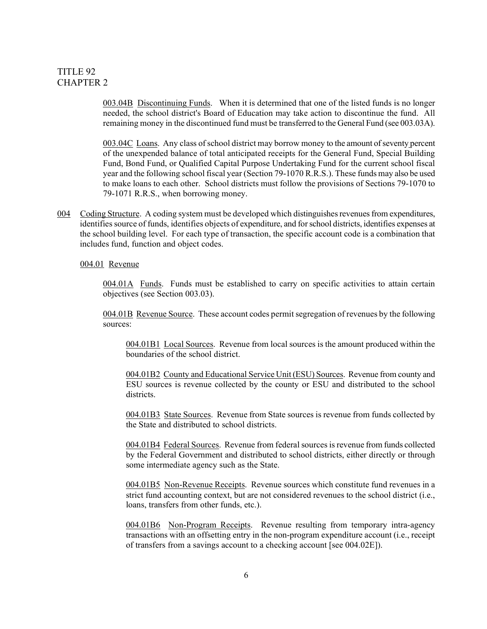003.04B Discontinuing Funds. When it is determined that one of the listed funds is no longer needed, the school district's Board of Education may take action to discontinue the fund. All remaining money in the discontinued fund must be transferred to the General Fund (see 003.03A).

003.04C Loans. Any class of school district may borrow money to the amount of seventy percent of the unexpended balance of total anticipated receipts for the General Fund, Special Building Fund, Bond Fund, or Qualified Capital Purpose Undertaking Fund for the current school fiscal year and the following school fiscal year (Section 79-1070 R.R.S.). These funds may also be used to make loans to each other. School districts must follow the provisions of Sections 79-1070 to 79-1071 R.R.S., when borrowing money.

004 Coding Structure. A coding system must be developed which distinguishes revenues from expenditures, identifies source of funds, identifies objects of expenditure, and for school districts, identifies expenses at the school building level. For each type of transaction, the specific account code is a combination that includes fund, function and object codes.

#### 004.01 Revenue

004.01A Funds. Funds must be established to carry on specific activities to attain certain objectives (see Section 003.03).

004.01B Revenue Source. These account codes permitsegregation of revenues by the following sources:

004.01B1 Local Sources. Revenue from local sources is the amount produced within the boundaries of the school district.

004.01B2 County and Educational Service Unit (ESU) Sources. Revenue from county and ESU sources is revenue collected by the county or ESU and distributed to the school districts.

004.01B3 State Sources. Revenue from State sources is revenue from funds collected by the State and distributed to school districts.

004.01B4 Federal Sources. Revenue from federal sources is revenue from funds collected by the Federal Government and distributed to school districts, either directly or through some intermediate agency such as the State.

004.01B5 Non-Revenue Receipts. Revenue sources which constitute fund revenues in a strict fund accounting context, but are not considered revenues to the school district (i.e., loans, transfers from other funds, etc.).

004.01B6 Non-Program Receipts. Revenue resulting from temporary intra-agency transactions with an offsetting entry in the non-program expenditure account (i.e., receipt of transfers from a savings account to a checking account [see 004.02E]).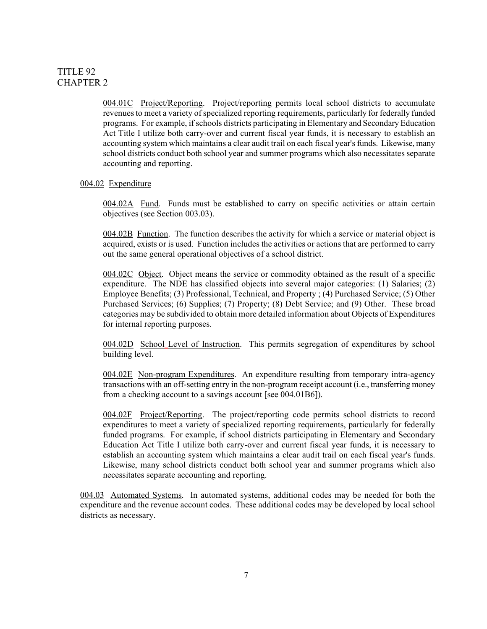004.01C Project/Reporting. Project/reporting permits local school districts to accumulate revenues to meet a variety of specialized reporting requirements, particularly for federally funded programs. For example, if schools districts participating in Elementary and Secondary Education Act Title I utilize both carry-over and current fiscal year funds, it is necessary to establish an accounting system which maintains a clear audit trail on each fiscal year's funds. Likewise, many school districts conduct both school year and summer programs which also necessitates separate accounting and reporting.

#### 004.02 Expenditure

004.02A Fund. Funds must be established to carry on specific activities or attain certain objectives (see Section 003.03).

004.02B Function. The function describes the activity for which a service or material object is acquired, exists or is used. Function includes the activities or actions that are performed to carry out the same general operational objectives of a school district.

004.02C Object. Object means the service or commodity obtained as the result of a specific expenditure. The NDE has classified objects into several major categories: (1) Salaries; (2) Employee Benefits; (3) Professional, Technical, and Property ; (4) Purchased Service; (5) Other Purchased Services; (6) Supplies; (7) Property; (8) Debt Service; and (9) Other. These broad categories may be subdivided to obtain more detailed information about Objects of Expenditures for internal reporting purposes.

004.02D School Level of Instruction. This permits segregation of expenditures by school building level.

004.02E Non-program Expenditures. An expenditure resulting from temporary intra-agency transactions with an off-setting entry in the non-program receipt account (i.e., transferring money from a checking account to a savings account [see 004.01B6]).

004.02F Project/Reporting. The project/reporting code permits school districts to record expenditures to meet a variety of specialized reporting requirements, particularly for federally funded programs. For example, if school districts participating in Elementary and Secondary Education Act Title I utilize both carry-over and current fiscal year funds, it is necessary to establish an accounting system which maintains a clear audit trail on each fiscal year's funds. Likewise, many school districts conduct both school year and summer programs which also necessitates separate accounting and reporting.

004.03 Automated Systems. In automated systems, additional codes may be needed for both the expenditure and the revenue account codes. These additional codes may be developed by local school districts as necessary.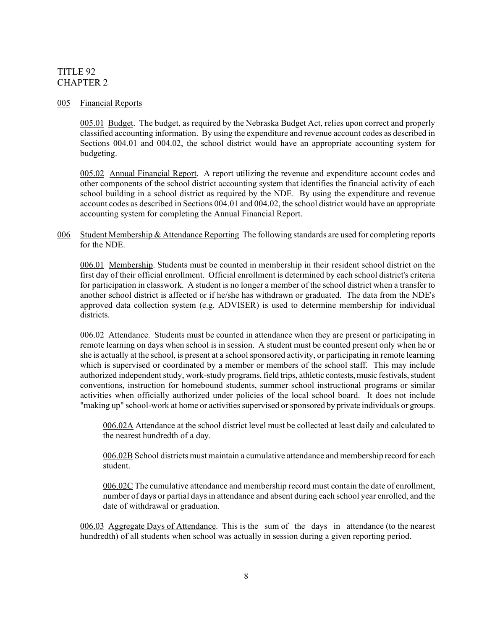#### 005 Financial Reports

005.01 Budget. The budget, as required by the Nebraska Budget Act, relies upon correct and properly classified accounting information. By using the expenditure and revenue account codes as described in Sections 004.01 and 004.02, the school district would have an appropriate accounting system for budgeting.

005.02 Annual Financial Report. A report utilizing the revenue and expenditure account codes and other components of the school district accounting system that identifies the financial activity of each school building in a school district as required by the NDE. By using the expenditure and revenue account codes as described in Sections 004.01 and 004.02, the school district would have an appropriate accounting system for completing the Annual Financial Report.

006 Student Membership & Attendance Reporting The following standards are used for completing reports for the NDE.

006.01 Membership. Students must be counted in membership in their resident school district on the first day of their official enrollment. Official enrollment is determined by each school district's criteria for participation in classwork. A student is no longer a member of the school district when a transfer to another school district is affected or if he/she has withdrawn or graduated. The data from the NDE's approved data collection system (e.g. ADVISER) is used to determine membership for individual districts.

006.02 Attendance. Students must be counted in attendance when they are present or participating in remote learning on days when school is in session. A student must be counted present only when he or she is actually at the school, is present at a school sponsored activity, or participating in remote learning which is supervised or coordinated by a member or members of the school staff. This may include authorized independent study, work-study programs, field trips, athletic contests, music festivals, student conventions, instruction for homebound students, summer school instructional programs or similar activities when officially authorized under policies of the local school board. It does not include "making up" school-work at home or activities supervised or sponsored by private individuals or groups.

006.02A Attendance at the school district level must be collected at least daily and calculated to the nearest hundredth of a day.

006.02B School districts must maintain a cumulative attendance and membership record for each student.

006.02C The cumulative attendance and membership record must contain the date of enrollment, number of days or partial days in attendance and absent during each school year enrolled, and the date of withdrawal or graduation.

006.03 Aggregate Days of Attendance. This is the sum of the days in attendance (to the nearest hundredth) of all students when school was actually in session during a given reporting period.